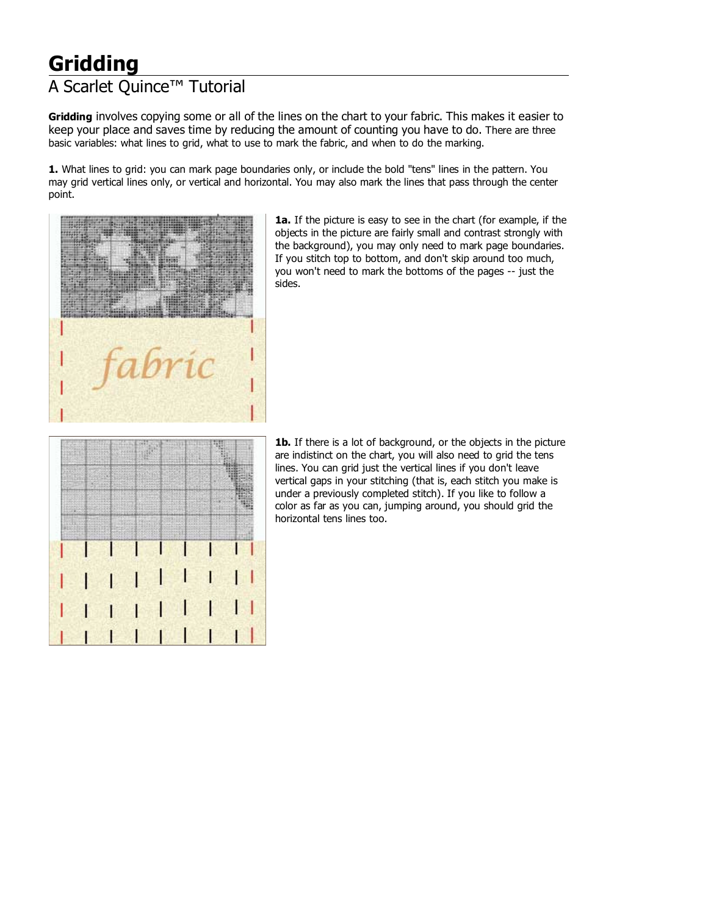## **Gridding**

## A Scarlet Quince™ Tutorial

**Gridding** involves copying some or all of the lines on the chart to your fabric. This makes it easier to keep your place and saves time by reducing the amount of counting you have to do. There are three basic variables: what lines to grid, what to use to mark the fabric, and when to do the marking.

**1.** What lines to grid: you can mark page boundaries only, or include the bold "tens" lines in the pattern. You may grid vertical lines only, or vertical and horizontal. You may also mark the lines that pass through the center point.



**1a.** If the picture is easy to see in the chart (for example, if the objects in the picture are fairly small and contrast strongly with the background), you may only need to mark page boundaries. If you stitch top to bottom, and don't skip around too much, you won't need to mark the bottoms of the pages -- just the sides.



**1b.** If there is a lot of background, or the objects in the picture are indistinct on the chart, you will also need to grid the tens lines. You can grid just the vertical lines if you don't leave vertical gaps in your stitching (that is, each stitch you make is under a previously completed stitch). If you like to follow a color as far as you can, jumping around, you should grid the horizontal tens lines too.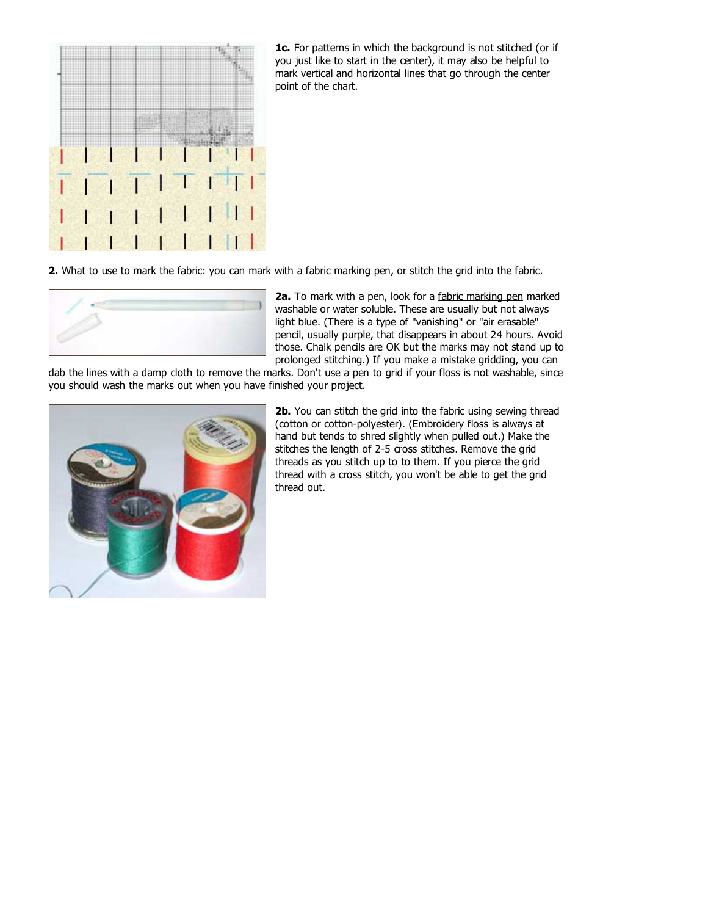

**1c.** For patterns in which the background is not stitched (or if you just like to start in the center), it may also be helpful to mark vertical and horizontal lines that go through the center point of the chart.

**2.** What to use to mark the fabric: you can mark with a fabric marking pen, or stitch the grid into the fabric.



**2a.** To mark with a pen, look for a fabric marking pen marked washable or water soluble. These are usually but not always light blue. (There is a type of "vanishing" or "air erasable" pencil, usually purple, that disappears in about 24 hours. Avoid those. Chalk pencils are OK but the marks may not stand up to prolonged stitching.) If you make a mistake gridding, you can

dab the lines with a damp cloth to remove the marks. Don't use a pen to grid if your floss is not washable, since you should wash the marks out when you have finished your project.



**2b.** You can stitch the grid into the fabric using sewing thread (cotton or cotton-polyester). (Embroidery floss is always at hand but tends to shred slightly when pulled out.) Make the stitches the length of 2-5 cross stitches. Remove the grid threads as you stitch up to to them. If you pierce the grid thread with a cross stitch, you won't be able to get the grid thread out.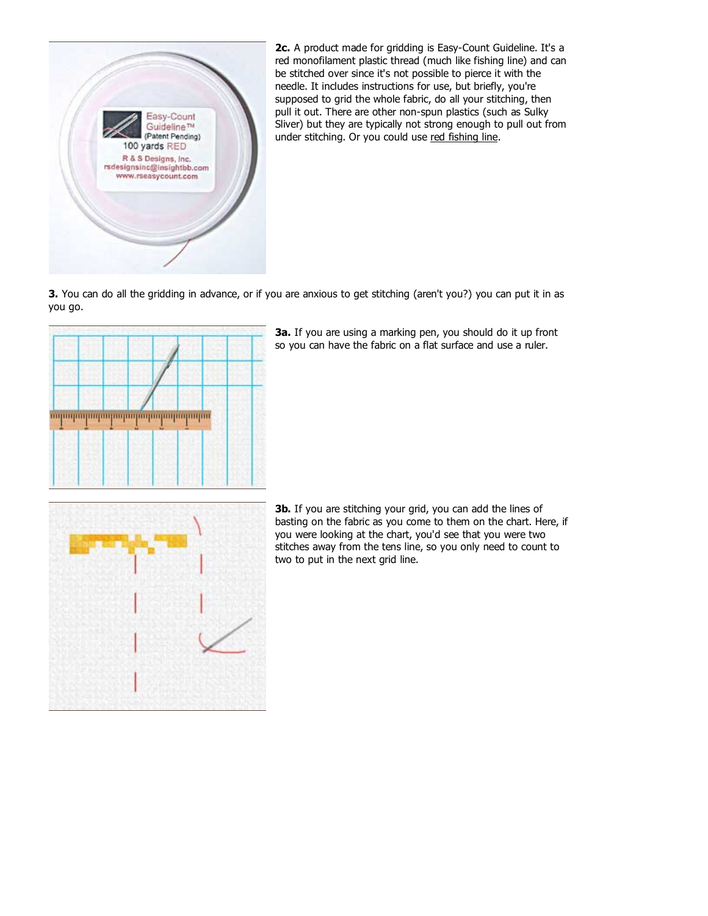

**2c.** A product made for gridding is Easy-Count Guideline. It's a red monofilament plastic thread (much like fishing line) and can be stitched over since it's not possible to pierce it with the needle. It includes instructions for use, but briefly, you're supposed to grid the whole fabric, do all your stitching, then pull it out. There are other non-spun plastics (such as Sulky Sliver) but they are typically not strong enough to pull out from under stitching. Or you could use red fishing line.

**3.** You can do all the gridding in advance, or if you are anxious to get stitching (aren't you?) you can put it in as you go.



**3a.** If you are using a marking pen, you should do it up front so you can have the fabric on a flat surface and use a ruler.